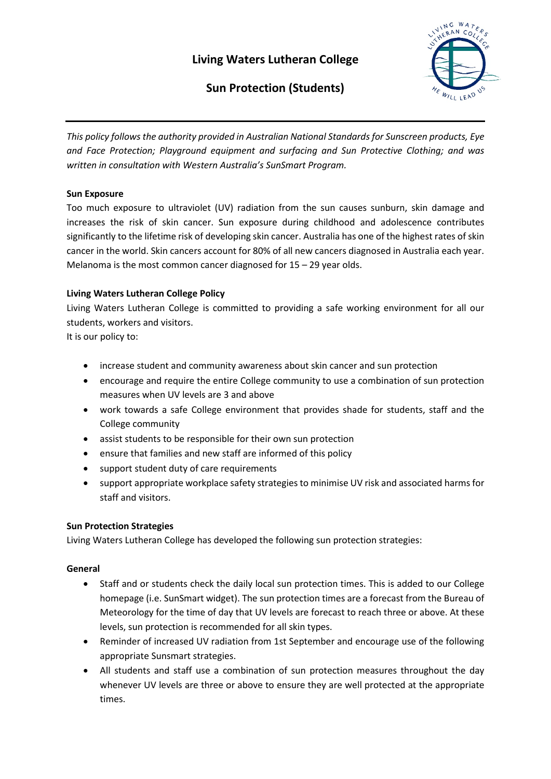# **Living Waters Lutheran College**



# **Sun Protection (Students)**

*This policy follows the authority provided in Australian National Standards for Sunscreen products, Eye and Face Protection; Playground equipment and surfacing and Sun Protective Clothing; and was written in consultation with Western Australia's SunSmart Program.*

## **Sun Exposure**

Too much exposure to ultraviolet (UV) radiation from the sun causes sunburn, skin damage and increases the risk of skin cancer. Sun exposure during childhood and adolescence contributes significantly to the lifetime risk of developing skin cancer. Australia has one of the highest rates of skin cancer in the world. Skin cancers account for 80% of all new cancers diagnosed in Australia each year. Melanoma is the most common cancer diagnosed for 15 – 29 year olds.

## **Living Waters Lutheran College Policy**

Living Waters Lutheran College is committed to providing a safe working environment for all our students, workers and visitors.

It is our policy to:

- increase student and community awareness about skin cancer and sun protection
- encourage and require the entire College community to use a combination of sun protection measures when UV levels are 3 and above
- work towards a safe College environment that provides shade for students, staff and the College community
- assist students to be responsible for their own sun protection
- ensure that families and new staff are informed of this policy
- support student duty of care requirements
- support appropriate workplace safety strategies to minimise UV risk and associated harms for staff and visitors.

## **Sun Protection Strategies**

Living Waters Lutheran College has developed the following sun protection strategies:

## **General**

- Staff and or students check the daily local sun protection times. This is added to our College homepage (i.e. SunSmart widget). The sun protection times are a forecast from the Bureau of Meteorology for the time of day that UV levels are forecast to reach three or above. At these levels, sun protection is recommended for all skin types.
- Reminder of increased UV radiation from 1st September and encourage use of the following appropriate Sunsmart strategies.
- All students and staff use a combination of sun protection measures throughout the day whenever UV levels are three or above to ensure they are well protected at the appropriate times.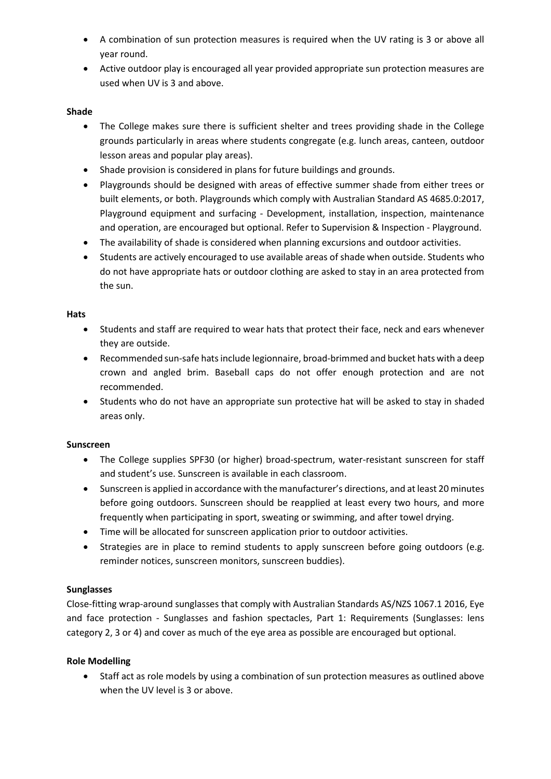- A combination of sun protection measures is required when the UV rating is 3 or above all year round.
- Active outdoor play is encouraged all year provided appropriate sun protection measures are used when UV is 3 and above.

### **Shade**

- The College makes sure there is sufficient shelter and trees providing shade in the College grounds particularly in areas where students congregate (e.g. lunch areas, canteen, outdoor lesson areas and popular play areas).
- Shade provision is considered in plans for future buildings and grounds.
- Playgrounds should be designed with areas of effective summer shade from either trees or built elements, or both. Playgrounds which comply with Australian Standard AS 4685.0:2017, Playground equipment and surfacing - Development, installation, inspection, maintenance and operation, are encouraged but optional. Refer to Supervision & Inspection - Playground.
- The availability of shade is considered when planning excursions and outdoor activities.
- Students are actively encouraged to use available areas of shade when outside. Students who do not have appropriate hats or outdoor clothing are asked to stay in an area protected from the sun.

#### **Hats**

- Students and staff are required to wear hats that protect their face, neck and ears whenever they are outside.
- Recommended sun-safe hats include legionnaire, broad-brimmed and bucket hats with a deep crown and angled brim. Baseball caps do not offer enough protection and are not recommended.
- Students who do not have an appropriate sun protective hat will be asked to stay in shaded areas only.

#### **Sunscreen**

- The College supplies SPF30 (or higher) broad-spectrum, water-resistant sunscreen for staff and student's use. Sunscreen is available in each classroom.
- Sunscreen is applied in accordance with the manufacturer's directions, and at least 20 minutes before going outdoors. Sunscreen should be reapplied at least every two hours, and more frequently when participating in sport, sweating or swimming, and after towel drying.
- Time will be allocated for sunscreen application prior to outdoor activities.
- Strategies are in place to remind students to apply sunscreen before going outdoors (e.g. reminder notices, sunscreen monitors, sunscreen buddies).

## **Sunglasses**

Close-fitting wrap-around sunglasses that comply with Australian Standards AS/NZS 1067.1 2016, Eye and face protection - Sunglasses and fashion spectacles, Part 1: Requirements (Sunglasses: lens category 2, 3 or 4) and cover as much of the eye area as possible are encouraged but optional.

## **Role Modelling**

• Staff act as role models by using a combination of sun protection measures as outlined above when the UV level is 3 or above.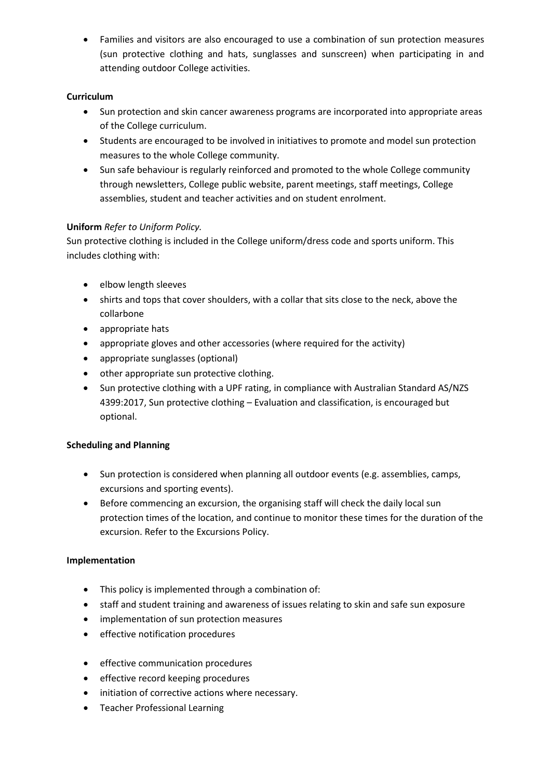• Families and visitors are also encouraged to use a combination of sun protection measures (sun protective clothing and hats, sunglasses and sunscreen) when participating in and attending outdoor College activities.

## **Curriculum**

- Sun protection and skin cancer awareness programs are incorporated into appropriate areas of the College curriculum.
- Students are encouraged to be involved in initiatives to promote and model sun protection measures to the whole College community.
- Sun safe behaviour is regularly reinforced and promoted to the whole College community through newsletters, College public website, parent meetings, staff meetings, College assemblies, student and teacher activities and on student enrolment.

# **Uniform** *Refer to Uniform Policy.*

Sun protective clothing is included in the College uniform/dress code and sports uniform. This includes clothing with:

- elbow length sleeves
- shirts and tops that cover shoulders, with a collar that sits close to the neck, above the collarbone
- appropriate hats
- appropriate gloves and other accessories (where required for the activity)
- appropriate sunglasses (optional)
- other appropriate sun protective clothing.
- Sun protective clothing with a UPF rating, in compliance with Australian Standard AS/NZS 4399:2017, Sun protective clothing – Evaluation and classification, is encouraged but optional.

# **Scheduling and Planning**

- Sun protection is considered when planning all outdoor events (e.g. assemblies, camps, excursions and sporting events).
- Before commencing an excursion, the organising staff will check the daily local sun protection times of the location, and continue to monitor these times for the duration of the excursion. Refer to the Excursions Policy.

# **Implementation**

- This policy is implemented through a combination of:
- staff and student training and awareness of issues relating to skin and safe sun exposure
- implementation of sun protection measures
- effective notification procedures
- effective communication procedures
- effective record keeping procedures
- initiation of corrective actions where necessary.
- Teacher Professional Learning